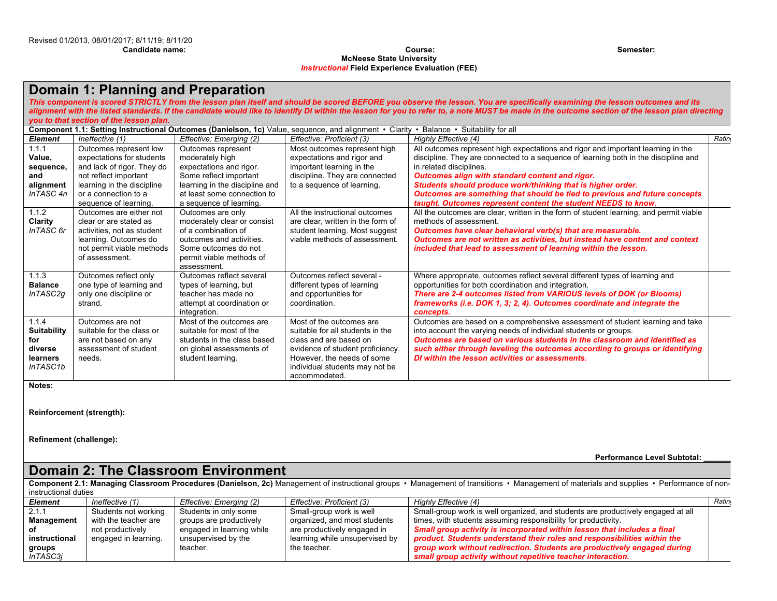#### **Candidate name: Course: Semester: McNeese State University** *Instructional* **Field Experience Evaluation (FEE)**

## **Domain 1: Planning and Preparation**

*This component is scored STRICTLY from the lesson plan itself and should be scored BEFORE you observe the lesson. You are specifically examining the lesson outcomes and its*  alignment with the listed standards. If the candidate would like to identify DI within the lesson for you to refer to, a note MUST be made in the outcome section of the lesson plan directing *you to that section of the lesson plan.*

|                                                                       | Component 1.1: Setting Instructional Outcomes (Danielson, 1c) Value, sequence, and alignment • Clarity • Balance • Suitability for all                                           |                                                                                                                                                                                                   |                                                                                                                                                                                                             |                                                                                                                                                                                                                                                                                                                                                                                                                                                                     |              |  |  |  |  |
|-----------------------------------------------------------------------|----------------------------------------------------------------------------------------------------------------------------------------------------------------------------------|---------------------------------------------------------------------------------------------------------------------------------------------------------------------------------------------------|-------------------------------------------------------------------------------------------------------------------------------------------------------------------------------------------------------------|---------------------------------------------------------------------------------------------------------------------------------------------------------------------------------------------------------------------------------------------------------------------------------------------------------------------------------------------------------------------------------------------------------------------------------------------------------------------|--------------|--|--|--|--|
| <b>Element</b>                                                        | Ineffective (1)                                                                                                                                                                  | Effective: Emerging (2)                                                                                                                                                                           | Effective: Proficient (3)                                                                                                                                                                                   | Highly Effective (4)                                                                                                                                                                                                                                                                                                                                                                                                                                                | <b>Ratin</b> |  |  |  |  |
| 1.1.1<br>Value,<br>sequence,<br>and<br>alignment<br>InTASC 4n         | Outcomes represent low<br>expectations for students<br>and lack of rigor. They do<br>not reflect important<br>learning in the discipline<br>or a connection to a                 | Outcomes represent<br>moderately high<br>expectations and rigor.<br>Some reflect important<br>learning in the discipline and<br>at least some connection to                                       | Most outcomes represent high<br>expectations and rigor and<br>important learning in the<br>discipline. They are connected<br>to a sequence of learning.                                                     | All outcomes represent high expectations and rigor and important learning in the<br>discipline. They are connected to a sequence of learning both in the discipline and<br>in related disciplines.<br>Outcomes align with standard content and rigor.<br>Students should produce work/thinking that is higher order.<br>Outcomes are something that should be tied to previous and future concepts<br>taught. Outcomes represent content the student NEEDS to know. |              |  |  |  |  |
| 1.1.2<br>Clarity<br>InTASC 6r                                         | sequence of learning.<br>Outcomes are either not<br>clear or are stated as<br>activities, not as student<br>learning. Outcomes do<br>not permit viable methods<br>of assessment. | a sequence of learning.<br>Outcomes are only<br>moderately clear or consist<br>of a combination of<br>outcomes and activities.<br>Some outcomes do not<br>permit viable methods of<br>assessment. | All the instructional outcomes<br>are clear, written in the form of<br>student learning. Most suggest<br>viable methods of assessment.                                                                      | All the outcomes are clear, written in the form of student learning, and permit viable<br>methods of assessment.<br>Outcomes have clear behavioral verb(s) that are measurable.<br>Outcomes are not written as activities, but instead have content and context<br>included that lead to assessment of learning within the lesson.                                                                                                                                  |              |  |  |  |  |
| 1.1.3<br><b>Balance</b><br>InTASC2g                                   | Outcomes reflect only<br>one type of learning and<br>only one discipline or<br>strand.                                                                                           | Outcomes reflect several<br>types of learning, but<br>teacher has made no<br>attempt at coordination or<br>integration.                                                                           | Outcomes reflect several -<br>different types of learning<br>and opportunities for<br>coordination.                                                                                                         | Where appropriate, outcomes reflect several different types of learning and<br>opportunities for both coordination and integration.<br>There are 2-4 outcomes listed from VARIOUS levels of DOK (or Blooms)<br>frameworks (i.e. DOK 1, 3; 2, 4). Outcomes coordinate and integrate the<br>concepts.                                                                                                                                                                 |              |  |  |  |  |
| 1.1.4<br><b>Suitability</b><br>for<br>diverse<br>learners<br>InTASC1b | Outcomes are not<br>suitable for the class or<br>are not based on any<br>assessment of student<br>needs.                                                                         | Most of the outcomes are<br>suitable for most of the<br>students in the class based<br>on global assessments of<br>student learning.                                                              | Most of the outcomes are<br>suitable for all students in the<br>class and are based on<br>evidence of student proficiency.<br>However, the needs of some<br>individual students may not be<br>accommodated. | Outcomes are based on a comprehensive assessment of student learning and take<br>into account the varying needs of individual students or groups.<br>Outcomes are based on various students in the classroom and identified as<br>such either through leveling the outcomes according to groups or identifying<br>DI within the lesson activities or assessments.                                                                                                   |              |  |  |  |  |

**Notes:** 

**Reinforcement (strength):**

**Refinement (challenge):**

**Performance Level Subtotal: \_\_\_\_\_\_\_**

# **Domain 2: The Classroom Environment**

Component 2.1: Managing Classroom Procedures (Danielson, 2c) Management of instructional groups · Management of transitions · Management of materials and supplies · Performance of noninstructional duties

| Element           | Ineffective (1)      | Effective: Emerging (2)                                 | Effective: Proficient (3)      | Highly Effective (4)                                                             | Ratin |  |
|-------------------|----------------------|---------------------------------------------------------|--------------------------------|----------------------------------------------------------------------------------|-------|--|
|                   | Students not working | Students in only some                                   | Small-group work is well       | Small-group work is well organized, and students are productively engaged at all |       |  |
| <b>Management</b> | with the teacher are | organized, and most students<br>groups are productively |                                | times, with students assuming responsibility for productivity.                   |       |  |
|                   | not productively     | engaged in learning while                               | are productively engaged in    | Small group activity is incorporated within lesson that includes a final         |       |  |
| instructional     | engaged in learning. | unsupervised by the                                     | learning while unsupervised by | product. Students understand their roles and responsibilities within the         |       |  |
| groups            |                      | teacher.                                                | the teacher.                   | group work without redirection. Students are productively engaged during         |       |  |
| InTASC3i          |                      |                                                         |                                | small group activity without repetitive teacher interaction.                     |       |  |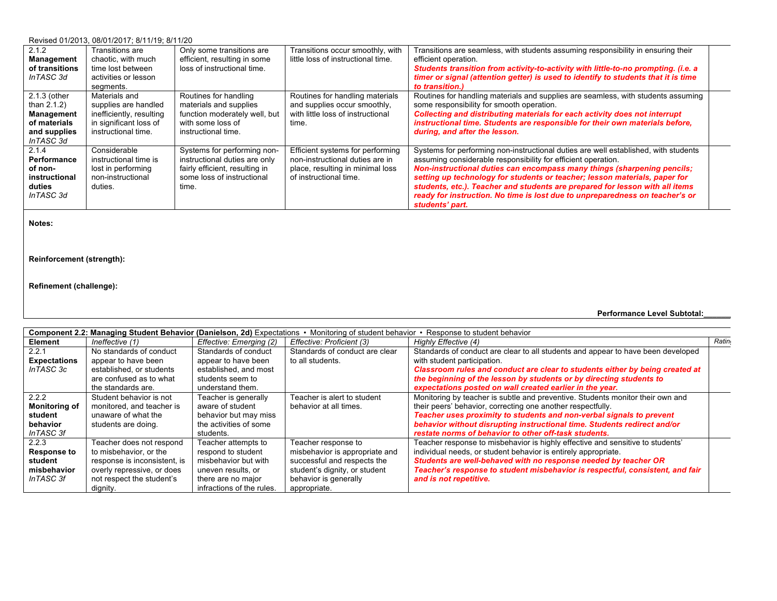#### Revised 01/2013, 08/01/2017; 8/11/19; 8/11/20

| 2.1.2<br>Management<br>of transitions<br>InTASC 3d                                        | Transitions are<br>chaotic, with much<br>time lost between<br>activities or lesson<br>segments.                    | Only some transitions are<br>efficient, resulting in some<br>loss of instructional time.                                              | Transitions occur smoothly, with<br>little loss of instructional time.                                                            | Transitions are seamless, with students assuming responsibility in ensuring their<br>efficient operation.<br>Students transition from activity-to-activity with little-to-no prompting. (i.e. a<br>timer or signal (attention getter) is used to identify to students that it is time<br>to transition.)                                                                                                                                                                                         |  |
|-------------------------------------------------------------------------------------------|--------------------------------------------------------------------------------------------------------------------|---------------------------------------------------------------------------------------------------------------------------------------|-----------------------------------------------------------------------------------------------------------------------------------|--------------------------------------------------------------------------------------------------------------------------------------------------------------------------------------------------------------------------------------------------------------------------------------------------------------------------------------------------------------------------------------------------------------------------------------------------------------------------------------------------|--|
| 2.1.3 (other<br>than $2.1.2$ )<br>Management<br>of materials<br>and supplies<br>InTASC 3d | Materials and<br>supplies are handled<br>inefficiently, resulting<br>in significant loss of<br>instructional time. | Routines for handling<br>materials and supplies<br>function moderately well, but<br>with some loss of<br>instructional time.          | Routines for handling materials<br>and supplies occur smoothly.<br>with little loss of instructional<br>time.                     | Routines for handling materials and supplies are seamless, with students assuming<br>some responsibility for smooth operation.<br>Collecting and distributing materials for each activity does not interrupt<br>instructional time. Students are responsible for their own materials before,<br>during, and after the lesson.                                                                                                                                                                    |  |
| 2.1.4<br>Performance<br>of non-<br>instructional<br>duties<br>InTASC 3d                   | Considerable<br>instructional time is<br>lost in performing<br>non-instructional<br>duties.                        | Systems for performing non-<br>instructional duties are only<br>fairly efficient, resulting in<br>some loss of instructional<br>time. | Efficient systems for performing<br>non-instructional duties are in<br>place, resulting in minimal loss<br>of instructional time. | Systems for performing non-instructional duties are well established, with students<br>assuming considerable responsibility for efficient operation.<br>Non-instructional duties can encompass many things (sharpening pencils;<br>setting up technology for students or teacher; lesson materials, paper for<br>students, etc.). Teacher and students are prepared for lesson with all items<br>ready for instruction. No time is lost due to unpreparedness on teacher's or<br>students' part. |  |

**Notes:** 

## **Reinforcement (strength):**

## **Refinement (challenge):**

**Performance Level Subtotal:\_\_\_\_\_\_\_**

| Component 2.2: Managing Student Behavior (Danielson, 2d) Expectations • Monitoring of student behavior • Response to student behavior |                              |                           |                                |                                                                                  |       |  |  |  |
|---------------------------------------------------------------------------------------------------------------------------------------|------------------------------|---------------------------|--------------------------------|----------------------------------------------------------------------------------|-------|--|--|--|
| Element                                                                                                                               | Ineffective (1)              | Effective: Emerging (2)   | Effective: Proficient (3)      | Highly Effective (4)                                                             | Ratin |  |  |  |
| 2.2.1                                                                                                                                 | No standards of conduct      | Standards of conduct      | Standards of conduct are clear | Standards of conduct are clear to all students and appear to have been developed |       |  |  |  |
| <b>Expectations</b>                                                                                                                   | appear to have been          | appear to have been       | to all students.               | with student participation.                                                      |       |  |  |  |
| InTASC 3c                                                                                                                             | established, or students     | established, and most     |                                | Classroom rules and conduct are clear to students either by being created at     |       |  |  |  |
|                                                                                                                                       | are confused as to what      | students seem to          |                                | the beginning of the lesson by students or by directing students to              |       |  |  |  |
|                                                                                                                                       | the standards are.           | understand them.          |                                | expectations posted on wall created earlier in the year.                         |       |  |  |  |
| 2.2.2                                                                                                                                 | Student behavior is not      | Teacher is generally      | Teacher is alert to student    | Monitoring by teacher is subtle and preventive. Students monitor their own and   |       |  |  |  |
| <b>Monitoring of</b>                                                                                                                  | monitored, and teacher is    | aware of student          | behavior at all times.         | their peers' behavior, correcting one another respectfully.                      |       |  |  |  |
| student                                                                                                                               | unaware of what the          | behavior but may miss     |                                | Teacher uses proximity to students and non-verbal signals to prevent             |       |  |  |  |
| behavior                                                                                                                              | students are doing.          | the activities of some    |                                | behavior without disrupting instructional time. Students redirect and/or         |       |  |  |  |
| InTASC 3f                                                                                                                             |                              | students.                 |                                | restate norms of behavior to other off-task students.                            |       |  |  |  |
| 2.2.3                                                                                                                                 | Teacher does not respond     | Teacher attempts to       | Teacher response to            | Teacher response to misbehavior is highly effective and sensitive to students'   |       |  |  |  |
| <b>Response to</b>                                                                                                                    | to misbehavior, or the       | respond to student        | misbehavior is appropriate and | individual needs, or student behavior is entirely appropriate.                   |       |  |  |  |
| student                                                                                                                               | response is inconsistent, is | misbehavior but with      | successful and respects the    | Students are well-behaved with no response needed by teacher OR                  |       |  |  |  |
| misbehavior                                                                                                                           | overly repressive, or does   | uneven results, or        | student's dignity, or student  | Teacher's response to student misbehavior is respectful, consistent, and fair    |       |  |  |  |
| InTASC 3f                                                                                                                             | not respect the student's    | there are no major        | behavior is generally          | and is not repetitive.                                                           |       |  |  |  |
|                                                                                                                                       | dignity.                     | infractions of the rules. | appropriate.                   |                                                                                  |       |  |  |  |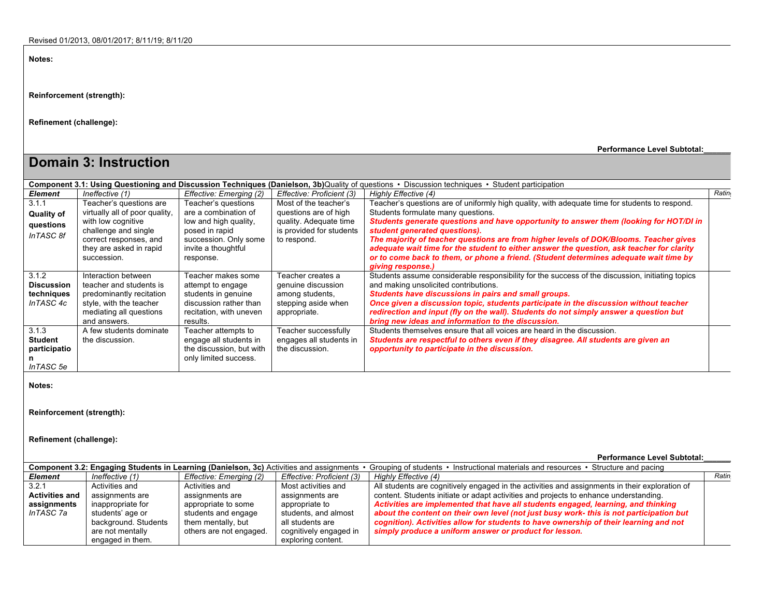**Notes:** 

**Reinforcement (strength):**

**Refinement (challenge):**

**Performance Level Subtotal:\_\_\_\_\_\_\_**

| <b>Domain 3: Instruction</b>                          |                                                                                                                                                                             |                                                                                                                                                     |                                                                                                                     |                                                                                                                                                                                                                                                                                                                                                                                                                                                                                                                                                                     |       |  |  |  |  |  |
|-------------------------------------------------------|-----------------------------------------------------------------------------------------------------------------------------------------------------------------------------|-----------------------------------------------------------------------------------------------------------------------------------------------------|---------------------------------------------------------------------------------------------------------------------|---------------------------------------------------------------------------------------------------------------------------------------------------------------------------------------------------------------------------------------------------------------------------------------------------------------------------------------------------------------------------------------------------------------------------------------------------------------------------------------------------------------------------------------------------------------------|-------|--|--|--|--|--|
|                                                       | Component 3.1: Using Questioning and Discussion Techniques (Danielson, 3b)Quality of questions • Discussion techniques • Student participation                              |                                                                                                                                                     |                                                                                                                     |                                                                                                                                                                                                                                                                                                                                                                                                                                                                                                                                                                     |       |  |  |  |  |  |
| <b>Element</b>                                        | Ineffective (1)                                                                                                                                                             | Effective: Emerging (2)                                                                                                                             | Effective: Proficient (3)                                                                                           | Highly Effective (4)                                                                                                                                                                                                                                                                                                                                                                                                                                                                                                                                                | Ratin |  |  |  |  |  |
| 3.1.1<br><b>Quality of</b><br>questions<br>InTASC 8f  | Teacher's questions are<br>virtually all of poor quality,<br>with low cognitive<br>challenge and single<br>correct responses, and<br>they are asked in rapid<br>succession. | Teacher's questions<br>are a combination of<br>low and high quality,<br>posed in rapid<br>succession. Only some<br>invite a thoughtful<br>response. | Most of the teacher's<br>questions are of high<br>quality. Adequate time<br>is provided for students<br>to respond. | Teacher's questions are of uniformly high quality, with adequate time for students to respond.<br>Students formulate many questions.<br>Students generate questions and have opportunity to answer them (looking for HOT/DI in<br>student generated questions).<br>The majority of teacher questions are from higher levels of DOK/Blooms. Teacher gives<br>adequate wait time for the student to either answer the question, ask teacher for clarity<br>or to come back to them, or phone a friend. (Student determines adequate wait time by<br>giving response.) |       |  |  |  |  |  |
| 3.1.2<br><b>Discussion</b><br>techniques<br>InTASC 4c | Interaction between<br>teacher and students is<br>predominantly recitation<br>style, with the teacher<br>mediating all questions<br>and answers.                            | Teacher makes some<br>attempt to engage<br>students in genuine<br>discussion rather than<br>recitation, with uneven<br>results.                     | Teacher creates a<br>genuine discussion<br>among students.<br>stepping aside when<br>appropriate.                   | Students assume considerable responsibility for the success of the discussion, initiating topics<br>and making unsolicited contributions.<br>Students have discussions in pairs and small groups.<br>Once given a discussion topic, students participate in the discussion without teacher<br>redirection and input (fly on the wall). Students do not simply answer a question but<br>bring new ideas and information to the discussion.                                                                                                                           |       |  |  |  |  |  |
| 3.1.3<br><b>Student</b><br>participatio<br>InTASC 5e  | A few students dominate<br>the discussion.                                                                                                                                  | Teacher attempts to<br>engage all students in<br>the discussion, but with<br>only limited success.                                                  | Teacher successfully<br>engages all students in<br>the discussion.                                                  | Students themselves ensure that all voices are heard in the discussion.<br>Students are respectful to others even if they disagree. All students are given an<br>opportunity to participate in the discussion.                                                                                                                                                                                                                                                                                                                                                      |       |  |  |  |  |  |

**Notes:** 

**Reinforcement (strength):**

**Refinement (challenge):**

**Performance Level Subtotal:\_\_\_\_\_\_\_**

| <b>Component 3.2: Engaging Students in Learning (Danielson, 3c)</b> Activities and assignments $\cdot$<br>Grouping of students • Instructional materials and resources • Structure and pacing |                      |                         |                           |                                                                                                |  |  |  |  |  |  |
|-----------------------------------------------------------------------------------------------------------------------------------------------------------------------------------------------|----------------------|-------------------------|---------------------------|------------------------------------------------------------------------------------------------|--|--|--|--|--|--|
| Element                                                                                                                                                                                       | Ineffective (1)      | Effective: Emerging (2) | Effective: Proficient (3) | Highly Effective (4)                                                                           |  |  |  |  |  |  |
| 3.2.1                                                                                                                                                                                         | Activities and       | Activities and          | Most activities and       | All students are cognitively engaged in the activities and assignments in their exploration of |  |  |  |  |  |  |
| <b>Activities and</b>                                                                                                                                                                         | assignments are      | assignments are         | assignments are           | content. Students initiate or adapt activities and projects to enhance understanding.          |  |  |  |  |  |  |
| assignments                                                                                                                                                                                   | inappropriate for    | appropriate to some     | appropriate to            | Activities are implemented that have all students engaged, learning, and thinking              |  |  |  |  |  |  |
| InTASC 7a                                                                                                                                                                                     | students' age or     | students and engage     | students, and almost      | about the content on their own level (not just busy work- this is not participation but        |  |  |  |  |  |  |
|                                                                                                                                                                                               | background. Students | them mentally, but      | all students are          | cognition). Activities allow for students to have ownership of their learning and not          |  |  |  |  |  |  |
|                                                                                                                                                                                               | are not mentally     | others are not engaged. | cognitively engaged in    | simply produce a uniform answer or product for lesson.                                         |  |  |  |  |  |  |
|                                                                                                                                                                                               | engaged in them.     |                         | exploring content.        |                                                                                                |  |  |  |  |  |  |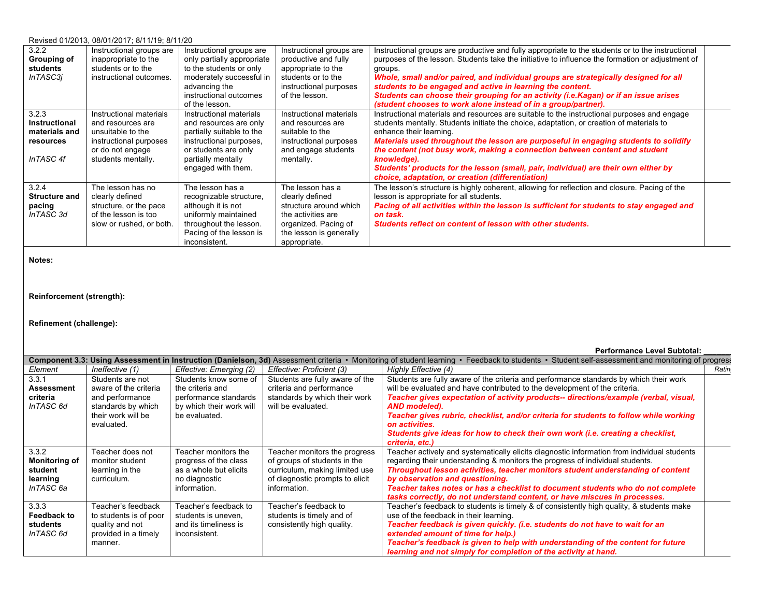#### Revised 01/2013, 08/01/2017; 8/11/19; 8/11/20

| 3.2.2<br>Grouping of<br>students<br>InTASC3j                             | Instructional groups are<br>inappropriate to the<br>students or to the<br>instructional outcomes.                                     | Instructional groups are<br>only partially appropriate<br>to the students or only<br>moderately successful in<br>advancing the<br>instructional outcomes<br>of the lesson.    | Instructional groups are<br>productive and fully<br>appropriate to the<br>students or to the<br>instructional purposes<br>of the lesson.               | Instructional groups are productive and fully appropriate to the students or to the instructional<br>purposes of the lesson. Students take the initiative to influence the formation or adjustment of<br>groups.<br>Whole, small and/or paired, and individual groups are strategically designed for all<br>students to be engaged and active in learning the content.<br>Students can choose their grouping for an activity (i.e. Kagan) or if an issue arises<br>(student chooses to work alone instead of in a group/partner).                    |  |
|--------------------------------------------------------------------------|---------------------------------------------------------------------------------------------------------------------------------------|-------------------------------------------------------------------------------------------------------------------------------------------------------------------------------|--------------------------------------------------------------------------------------------------------------------------------------------------------|------------------------------------------------------------------------------------------------------------------------------------------------------------------------------------------------------------------------------------------------------------------------------------------------------------------------------------------------------------------------------------------------------------------------------------------------------------------------------------------------------------------------------------------------------|--|
| 3.2.3<br><b>Instructional</b><br>materials and<br>resources<br>InTASC 4f | Instructional materials<br>and resources are<br>unsuitable to the<br>instructional purposes<br>or do not engage<br>students mentally. | Instructional materials<br>and resources are only<br>partially suitable to the<br>instructional purposes,<br>or students are only<br>partially mentally<br>engaged with them. | Instructional materials<br>and resources are<br>suitable to the<br>instructional purposes<br>and engage students<br>mentally.                          | Instructional materials and resources are suitable to the instructional purposes and engage<br>students mentally. Students initiate the choice, adaptation, or creation of materials to<br>enhance their learning.<br>Materials used throughout the lesson are purposeful in engaging students to solidify<br>the content (not busy work, making a connection between content and student<br>knowledge).<br>Students' products for the lesson (small, pair, individual) are their own either by<br>choice, adaptation, or creation (differentiation) |  |
| 3.2.4<br><b>Structure and</b><br>pacing<br>InTASC 3d                     | The lesson has no<br>clearly defined<br>structure, or the pace<br>of the lesson is too<br>slow or rushed, or both.                    | The lesson has a<br>recognizable structure,<br>although it is not<br>uniformly maintained<br>throughout the lesson.<br>Pacing of the lesson is<br>inconsistent.               | The lesson has a<br>clearly defined<br>structure around which<br>the activities are<br>organized. Pacing of<br>the lesson is generally<br>appropriate. | The lesson's structure is highly coherent, allowing for reflection and closure. Pacing of the<br>lesson is appropriate for all students.<br>Pacing of all activities within the lesson is sufficient for students to stay engaged and<br>on task.<br>Students reflect on content of lesson with other students.                                                                                                                                                                                                                                      |  |

**Notes:** 

## **Reinforcement (strength):**

#### **Refinement (challenge):**

#### **Performance Level Subtotal: \_\_\_\_\_\_\_**

|                      | 3d) Assessment criteria • Monitoring of student learning • Feedback to students • Student self-assessment and monitoring of progres:<br><b>Component 3.3: Using Assessment in Instruction (Danielson,</b> |                          |                                 |                                                                                             |       |  |  |  |  |
|----------------------|-----------------------------------------------------------------------------------------------------------------------------------------------------------------------------------------------------------|--------------------------|---------------------------------|---------------------------------------------------------------------------------------------|-------|--|--|--|--|
| Element              | Ineffective (1)                                                                                                                                                                                           | Effective: Emerging (2)  | Effective: Proficient (3)       | Highly Effective (4)                                                                        | Ratin |  |  |  |  |
| 3.3.1                | Students are not                                                                                                                                                                                          | Students know some of    | Students are fully aware of the | Students are fully aware of the criteria and performance standards by which their work      |       |  |  |  |  |
| <b>Assessment</b>    | aware of the criteria                                                                                                                                                                                     | the criteria and         | criteria and performance        | will be evaluated and have contributed to the development of the criteria.                  |       |  |  |  |  |
| criteria             | and performance                                                                                                                                                                                           | performance standards    | standards by which their work   | Teacher gives expectation of activity products-- directions/example (verbal, visual,        |       |  |  |  |  |
| InTASC 6d            | standards by which                                                                                                                                                                                        | by which their work will | will be evaluated.              | AND modeled).                                                                               |       |  |  |  |  |
|                      | their work will be                                                                                                                                                                                        | be evaluated.            |                                 | Teacher gives rubric, checklist, and/or criteria for students to follow while working       |       |  |  |  |  |
|                      | evaluated.                                                                                                                                                                                                |                          |                                 | on activities.                                                                              |       |  |  |  |  |
|                      |                                                                                                                                                                                                           |                          |                                 | Students give ideas for how to check their own work (i.e. creating a checklist,             |       |  |  |  |  |
|                      |                                                                                                                                                                                                           |                          |                                 | criteria, etc.)                                                                             |       |  |  |  |  |
| 3.3.2                | Teacher does not                                                                                                                                                                                          | Teacher monitors the     | Teacher monitors the progress   | Teacher actively and systematically elicits diagnostic information from individual students |       |  |  |  |  |
| <b>Monitoring of</b> | monitor student                                                                                                                                                                                           | progress of the class    | of groups of students in the    | regarding their understanding & monitors the progress of individual students.               |       |  |  |  |  |
| student              | learning in the                                                                                                                                                                                           | as a whole but elicits   | curriculum, making limited use  | Throughout lesson activities, teacher monitors student understanding of content             |       |  |  |  |  |
| learning             | curriculum.                                                                                                                                                                                               | no diagnostic            | of diagnostic prompts to elicit | by observation and questioning.                                                             |       |  |  |  |  |
| InTASC 6a            |                                                                                                                                                                                                           | information.             | information.                    | Teacher takes notes or has a checklist to document students who do not complete             |       |  |  |  |  |
|                      |                                                                                                                                                                                                           |                          |                                 | tasks correctly, do not understand content, or have miscues in processes.                   |       |  |  |  |  |
| 3.3.3                | Teacher's feedback                                                                                                                                                                                        | Teacher's feedback to    | Teacher's feedback to           | Teacher's feedback to students is timely & of consistently high quality, & students make    |       |  |  |  |  |
| <b>Feedback to</b>   | to students is of poor                                                                                                                                                                                    | students is uneven.      | students is timely and of       | use of the feedback in their learning.                                                      |       |  |  |  |  |
| students             | quality and not                                                                                                                                                                                           | and its timeliness is    | consistently high quality.      | Teacher feedback is given quickly. (i.e. students do not have to wait for an                |       |  |  |  |  |
| InTASC 6d            | provided in a timely                                                                                                                                                                                      | inconsistent.            |                                 | extended amount of time for help.)                                                          |       |  |  |  |  |
|                      | manner.                                                                                                                                                                                                   |                          |                                 | Teacher's feedback is given to help with understanding of the content for future            |       |  |  |  |  |
|                      |                                                                                                                                                                                                           |                          |                                 | learning and not simply for completion of the activity at hand.                             |       |  |  |  |  |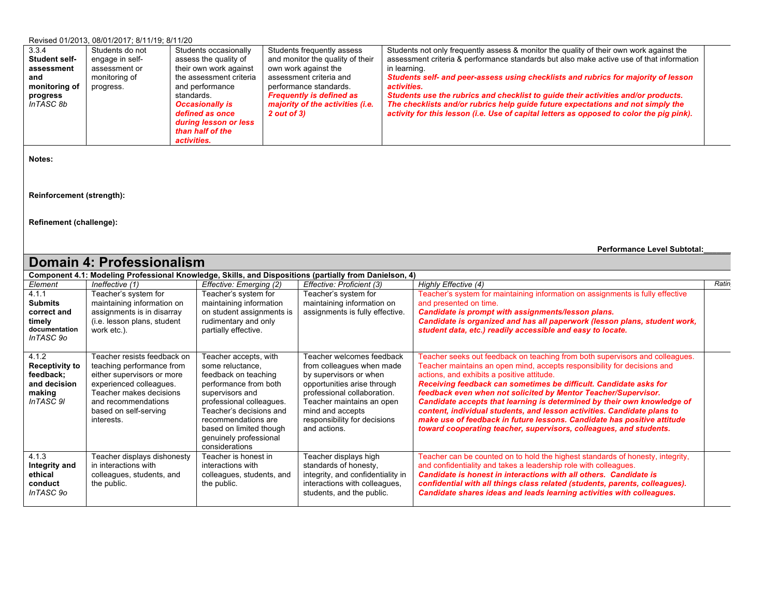#### Revised 01/2013, 08/01/2017; 8/11/19; 8/11/20

| 3.3.4                | Students do not | Students occasionally   | Students frequently assess       | Students not only frequently assess & monitor the quality of their own work against the  |  |
|----------------------|-----------------|-------------------------|----------------------------------|------------------------------------------------------------------------------------------|--|
| <b>Student self-</b> | engage in self- | assess the quality of   | and monitor the quality of their | assessment criteria & performance standards but also make active use of that information |  |
| assessment           | assessment or   | their own work against  | own work against the             | in learning.                                                                             |  |
| and                  | monitoring of   | the assessment criteria | assessment criteria and          | Students self- and peer-assess using checklists and rubrics for majority of lesson       |  |
| monitoring of        | progress.       | and performance         | performance standards.           | activities.                                                                              |  |
| progress             |                 | standards.              | <b>Frequently is defined as</b>  | Students use the rubrics and checklist to quide their activities and/or products.        |  |
| InTASC 8b            |                 | <b>Occasionally is</b>  | majority of the activities (i.e. | The checklists and/or rubrics help guide future expectations and not simply the          |  |
|                      |                 | defined as once         | $2$ out of $3)$                  | activity for this lesson (i.e. Use of capital letters as opposed to color the piq pink). |  |
|                      |                 | during lesson or less   |                                  |                                                                                          |  |
|                      |                 | than half of the        |                                  |                                                                                          |  |
|                      |                 | activities.             |                                  |                                                                                          |  |

**Notes:** 

**Reinforcement (strength):**

**Refinement (challenge):**

**Performance Level Subtotal:\_\_\_\_\_\_\_**

|                                                                                                        | Domain 4: Professionalism                                                                                                                                                                                  |                                                                                                                                                                                                                                                                    |                                                                                                                                                                                                                                                 |                                                                                                                                                                                                                                                                                                                                                                                                                                                                                                                                                                                                                                                      |       |  |  |  |  |  |  |
|--------------------------------------------------------------------------------------------------------|------------------------------------------------------------------------------------------------------------------------------------------------------------------------------------------------------------|--------------------------------------------------------------------------------------------------------------------------------------------------------------------------------------------------------------------------------------------------------------------|-------------------------------------------------------------------------------------------------------------------------------------------------------------------------------------------------------------------------------------------------|------------------------------------------------------------------------------------------------------------------------------------------------------------------------------------------------------------------------------------------------------------------------------------------------------------------------------------------------------------------------------------------------------------------------------------------------------------------------------------------------------------------------------------------------------------------------------------------------------------------------------------------------------|-------|--|--|--|--|--|--|
| Component 4.1: Modeling Professional Knowledge, Skills, and Dispositions (partially from Danielson, 4) |                                                                                                                                                                                                            |                                                                                                                                                                                                                                                                    |                                                                                                                                                                                                                                                 |                                                                                                                                                                                                                                                                                                                                                                                                                                                                                                                                                                                                                                                      |       |  |  |  |  |  |  |
| Element                                                                                                | Ineffective (1)                                                                                                                                                                                            | Effective: Emerging (2)                                                                                                                                                                                                                                            | Effective: Proficient (3)                                                                                                                                                                                                                       | Highly Effective (4)                                                                                                                                                                                                                                                                                                                                                                                                                                                                                                                                                                                                                                 | Ratin |  |  |  |  |  |  |
| 4.1.1<br><b>Submits</b><br>correct and<br>timely<br>documentation<br>InTASC 90                         | Teacher's system for<br>maintaining information on<br>assignments is in disarray<br>(i.e. lesson plans, student<br>work etc.).                                                                             | Teacher's system for<br>maintaining information<br>on student assignments is<br>rudimentary and only<br>partially effective.                                                                                                                                       | Teacher's system for<br>maintaining information on<br>assignments is fully effective.                                                                                                                                                           | Teacher's system for maintaining information on assignments is fully effective<br>and presented on time.<br>Candidate is prompt with assignments/lesson plans.<br>Candidate is organized and has all paperwork (lesson plans, student work,<br>student data, etc.) readily accessible and easy to locate.                                                                                                                                                                                                                                                                                                                                            |       |  |  |  |  |  |  |
| 4.1.2<br><b>Receptivity to</b><br>feedback;<br>and decision<br>making<br>InTASC 9I                     | Teacher resists feedback on<br>teaching performance from<br>either supervisors or more<br>experienced colleagues.<br>Teacher makes decisions<br>and recommendations<br>based on self-serving<br>interests. | Teacher accepts, with<br>some reluctance.<br>feedback on teaching<br>performance from both<br>supervisors and<br>professional colleagues.<br>Teacher's decisions and<br>recommendations are<br>based on limited though<br>genuinely professional<br>considerations | Teacher welcomes feedback<br>from colleagues when made<br>by supervisors or when<br>opportunities arise through<br>professional collaboration.<br>Teacher maintains an open<br>mind and accepts<br>responsibility for decisions<br>and actions. | Teacher seeks out feedback on teaching from both supervisors and colleagues.<br>Teacher maintains an open mind, accepts responsibility for decisions and<br>actions, and exhibits a positive attitude.<br>Receiving feedback can sometimes be difficult. Candidate asks for<br>feedback even when not solicited by Mentor Teacher/Supervisor.<br>Candidate accepts that learning is determined by their own knowledge of<br>content, individual students, and lesson activities. Candidate plans to<br>make use of feedback in future lessons. Candidate has positive attitude<br>toward cooperating teacher, supervisors, colleagues, and students. |       |  |  |  |  |  |  |
| 4.1.3<br>Integrity and<br>ethical<br>conduct<br>InTASC 90                                              | Teacher displays dishonesty<br>in interactions with<br>colleagues, students, and<br>the public.                                                                                                            | Teacher is honest in<br>interactions with<br>colleagues, students, and<br>the public.                                                                                                                                                                              | Teacher displays high<br>standards of honesty,<br>integrity, and confidentiality in<br>interactions with colleagues,<br>students, and the public.                                                                                               | Teacher can be counted on to hold the highest standards of honesty, integrity,<br>and confidentiality and takes a leadership role with colleagues.<br>Candidate is honest in interactions with all others. Candidate is<br>confidential with all things class related (students, parents, colleagues).<br>Candidate shares ideas and leads learning activities with colleagues.                                                                                                                                                                                                                                                                      |       |  |  |  |  |  |  |